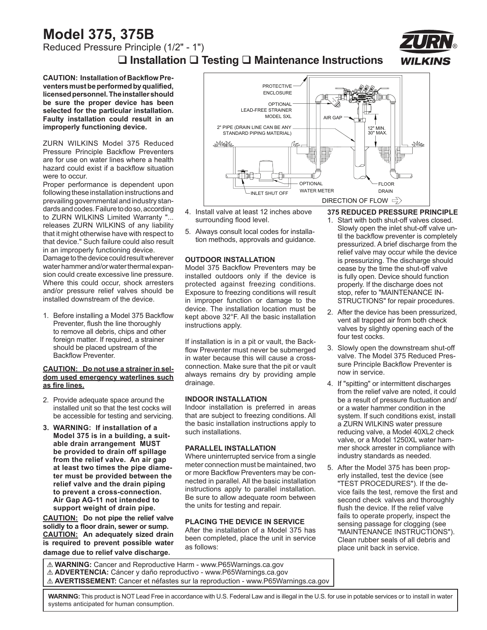## **Model 375, 375B** Reduced Pressure Principle (1/2" - 1")

 **Installation Testing Maintenance Instructions**



**CAUTION: Installation of Backflow Preventers must be performed by qualified, licensed personnel. The installer should be sure the proper device has been selected for the particular installation. Faulty installation could result in an improperly functioning device.**

ZURN WILKINS Model 375 Reduced Pressure Principle Backflow Preventers are for use on water lines where a health hazard could exist if a backflow situation were to occur.

Proper performance is dependent upon following these installation instructions and prevailing governmental and industry standards and codes. Failure to do so, according to ZURN WILKINS Limited Warranty "... releases ZURN WILKINS of any liability that it might otherwise have with respect to that device." Such failure could also result in an improperly functioning device.

Damage to the device could result wherever water hammer and/or water thermal expansion could create excessive line pressure. Where this could occur, shock arresters and/or pressure relief valves should be installed downstream of the device.

1. Before installing a Model 375 Backflow Preventer, flush the line thoroughly to remove all debris, chips and other foreign matter. If required, a strainer should be placed upstream of the Backflow Preventer.

### **CAUTION: Do not use a strainer in seldom used emergency waterlines such as fire lines.**

- 2. Provide adequate space around the installed unit so that the test cocks will be accessible for testing and servicing.
- **3. WARNING: If installation of a Model 375 is in a building, a suitable drain arrangement MUST be provided to drain off spillage from the relief valve. An air gap at least two times the pipe diameter must be provided between the relief valve and the drain piping to prevent a cross-connection. Air Gap AG-11 not intended to support weight of drain pipe.**

**CAUTION: Do not pipe the relief valve solidly to a floor drain, sewer or sump. CAUTION: An adequately sized drain is required to prevent possible water damage due to relief valve discharge.**



- 4. Install valve at least 12 inches above surrounding flood level.
- 5. Always consult local codes for installation methods, approvals and guidance.

### **OUTDOOR INSTALLATION**

Model 375 Backflow Preventers may be installed outdoors only if the device is protected against freezing conditions. Exposure to freezing conditions will result in improper function or damage to the device. The installation location must be kept above 32°F. All the basic installation instructions apply.

If installation is in a pit or vault, the Backflow Preventer must never be submerged in water because this will cause a crossconnection. Make sure that the pit or vault always remains dry by providing ample drainage.

### **INDOOR INSTALLATION**

Indoor installation is preferred in areas that are subject to freezing conditions. All the basic installation instructions apply to such installations.

## **PARALLEL INSTALLATION**

Where uninterrupted service from a single meter connection must be maintained, two or more Backflow Preventers may be connected in parallel. All the basic installation instructions apply to parallel installation. Be sure to allow adequate room between the units for testing and repair.

## **PLACING THE DEVICE IN SERVICE**

After the installation of a Model 375 has been completed, place the unit in service as follows:

**375 REDUCED PRESSURE PRINCIPLE**

- 1. Start with both shut-off valves closed. Slowly open the inlet shut-off valve until the backflow preventer is completely pressurized. A brief discharge from the relief valve may occur while the device is pressurizing. The discharge should cease by the time the shut-off valve is fully open. Device should function properly. If the discharge does not stop, refer to "MAINTENANCE IN-STRUCTIONS" for repair procedures.
- 2. After the device has been pressurized, vent all trapped air from both check valves by slightly opening each of the four test cocks.
- 3. Slowly open the downstream shut-off valve. The Model 375 Reduced Pressure Principle Backflow Preventer is now in service.
- 4. If "spitting" or intermittent discharges from the relief valve are noted, it could be a result of pressure fluctuation and/ or a water hammer condition in the system. If such conditions exist, install a ZURN WILKINS water pressure reducing valve, a Model 40XL2 check valve, or a Model 1250XL water hammer shock arrester in compliance with industry standards as needed.
- 5. After the Model 375 has been properly installed, test the device (see "TEST PROCEDURES"). If the device fails the test, remove the first and second check valves and thoroughly flush the device. If the relief valve fails to operate properly, inspect the sensing passage for clogging (see "MAINTENANCE INSTRUCTIONS"). Clean rubber seals of all debris and place unit back in service.

! **WARNING:** Cancer and Reproductive Harm - www.P65Warnings.ca.gov ! **ADVERTENCIA:** Cáncer y daño reproductivo - www.P65Warnings.ca.gov ! **AVERTISSEMENT:** Cancer et néfastes sur la reproduction - www.P65Warnings.ca.gov

**WARNING:** This product is NOT Lead Free in accordance with U.S. Federal Law and is illegal in the U.S. for use in potable services or to install in water systems anticipated for human consumption.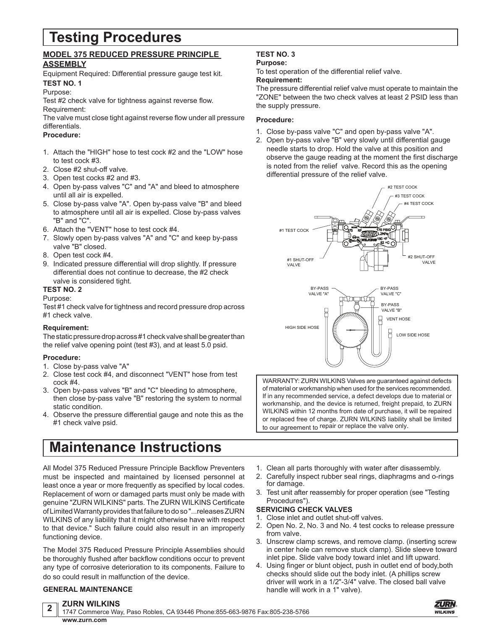## **Testing Procedures**

## **MODEL 375 REDUCED PRESSURE PRINCIPLE ASSEMBLY**

Equipment Required: Differential pressure gauge test kit. **TEST NO. 1**

## Purpose:

Test #2 check valve for tightness against reverse flow. Requirement:

The valve must close tight against reverse flow under all pressure differentials.

## **Procedure:**

- 1. Attach the "HIGH" hose to test cock #2 and the "LOW" hose to test cock #3.
- 2. Close #2 shut-off valve.
- 3. Open test cocks #2 and #3.
- 4. Open by-pass valves "C" and "A" and bleed to atmosphere until all air is expelled.
- 5. Close by-pass valve "A". Open by-pass valve "B" and bleed to atmosphere until all air is expelled. Close by-pass valves "B" and "C".
- 6. Attach the "VENT" hose to test cock #4.
- 7. Slowly open by-pass valves "A" and "C" and keep by-pass valve "B" closed.
- 8. Open test cock #4.
- 9. Indicated pressure differential will drop slightly. If pressure differential does not continue to decrease, the #2 check valve is considered tight.
- **TEST NO. 2**

## Purpose:

Test #1 check valve for tightness and record pressure drop across #1 check valve.

## **Requirement:**

The static pressure drop across #1 check valve shall be greater than the relief valve opening point (test #3), and at least 5.0 psid.

### **Procedure:**

- 1. Close by-pass valve "A"
- 2. Close test cock #4, and disconnect "VENT" hose from test cock #4.
- 3. Open by-pass valves "B" and "C" bleeding to atmosphere, then close by-pass valve "B" restoring the system to normal static condition.
- 4. Observe the pressure differential gauge and note this as the #1 check valve psid.

## **Maintenance Instructions**

All Model 375 Reduced Pressure Principle Backflow Preventers must be inspected and maintained by licensed personnel at least once a year or more frequently as specified by local codes. Replacement of worn or damaged parts must only be made with genuine "ZURN WILKINS" parts. The ZURN WILKINS Certificate of Limited Warranty provides that failure to do so "...releases ZURN WILKINS of any liability that it might otherwise have with respect to that device." Such failure could also result in an improperly functioning device.

The Model 375 Reduced Pressure Principle Assemblies should be thoroughly flushed after backflow conditions occur to prevent any type of corrosive deterioration to its components. Failure to do so could result in malfunction of the device.

## **GENERAL MAINTENANCE**

## **TEST NO. 3**

## **Purpose:**

To test operation of the differential relief valve.

## **Requirement:**

The pressure differential relief valve must operate to maintain the "ZONE" between the two check valves at least 2 PSID less than the supply pressure.

### **Procedure:**

- 1. Close by-pass valve "C" and open by-pass valve "A".
- 2. Open by-pass valve "B" very slowly until differential gauge needle starts to drop. Hold the valve at this position and observe the gauge reading at the moment the first discharge is noted from the relief valve. Record this as the opening differential pressure of the relief valve.





WARRANTY: ZURN WILKINS Valves are guaranteed against defects of material or workmanship when used for the services recommended. If in any recommended service, a defect develops due to material or workmanship, and the device is returned, freight prepaid, to ZURN WILKINS within 12 months from date of purchase, it will be repaired or replaced free of charge. ZURN WILKINS liability shall be limited to our agreement to repair or replace the valve only.

- 1. Clean all parts thoroughly with water after disassembly.
- 2. Carefully inspect rubber seal rings, diaphragms and o-rings for damage.
- 3. Test unit after reassembly for proper operation (see "Testing Procedures").

## **SERVICING CHECK VALVES**

- 1. Close inlet and outlet shut-off valves.
- 2. Open No. 2, No. 3 and No. 4 test cocks to release pressure from valve.
- 3. Unscrew clamp screws, and remove clamp. (inserting screw in center hole can remove stuck clamp). Slide sleeve toward inlet pipe. Slide valve body toward inlet and lift upward.
- 4. Using finger or blunt object, push in outlet end of body,both checks should slide out the body inlet. (A phillips screw driver will work in a 1/2"-3/4" valve. The closed ball valve handle will work in a 1" valve).



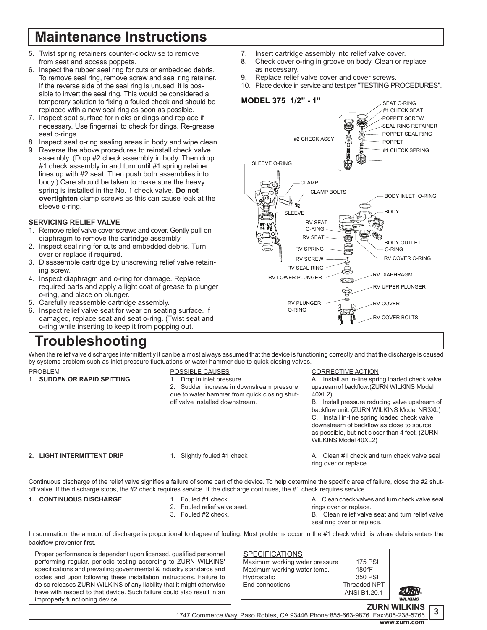# **Maintenance Instructions**

- 5. Twist spring retainers counter-clockwise to remove from seat and access poppets.
- 6. Inspect the rubber seal ring for cuts or embedded debris. To remove seal ring, remove screw and seal ring retainer. If the reverse side of the seal ring is unused, it is possible to invert the seal ring. This would be considered a temporary solution to fixing a fouled check and should be replaced with a new seal ring as soon as possible.
- 7. Inspect seat surface for nicks or dings and replace if necessary. Use fingernail to check for dings. Re-grease seat o-rings.
- 8. Inspect seat o-ring sealing areas in body and wipe clean.
- 9. Reverse the above procedures to reinstall check valve assembly. (Drop #2 check assembly in body. Then drop #1 check assembly in and turn until #1 spring retainer lines up with #2 seat. Then push both assemblies into body.) Care should be taken to make sure the heavy spring is installed in the No. 1 check valve. **Do not overtighten** clamp screws as this can cause leak at the sleeve o-ring.

## **SERVICING RELIEF VALVE**

- 1. Remove relief valve cover screws and cover. Gently pull on diaphragm to remove the cartridge assembly.
- 2. Inspect seal ring for cuts and embedded debris. Turn over or replace if required.
- 3. Disassemble cartridge by unscrewing relief valve retaining screw.
- 4. Inspect diaphragm and o-ring for damage. Replace required parts and apply a light coat of grease to plunger o-ring, and place on plunger.
- 5. Carefully reassemble cartridge assembly.
- 6. Inspect relief valve seat for wear on seating surface. If damaged, replace seat and seat o-ring. (Twist seat and o-ring while inserting to keep it from popping out.

## **Troubleshooting**

- 7. Insert cartridge assembly into relief valve cover.
- 8. Check cover o-ring in groove on body. Clean or replace as necessary.
- 9. Replace relief valve cover and cover screws.
- 10. Place device in service and test per "TESTING PROCEDURES".



When the relief valve discharges intermittently it can be almost always assumed that the device is functioning correctly and that the discharge is caused by systems problem such as inlet pressure fluctuations or water hammer due to quick closing valves.

PROBLEM 1. **SUDDEN OR RAPID SPITTING**

## POSSIBLE CAUSES

1. Drop in inlet pressure. 2. Sudden increase in downstream pressure due to water hammer from quick closing shutoff valve installed downstream.

CORRECTIVE ACTION

A. Install an in-line spring loaded check valve upstream of backflow. (ZURN WILKINS Model 40XL2)

B. Install pressure reducing valve upstream of backflow unit. (ZURN WILKINS Model NR3XL) C. Install in-line spring loaded check valve downstream of backflow as close to source as possible, but not closer than 4 feet. (ZURN WILKINS Model 40XL2)

## **2. LIGHT INTERMITTENT DRIP**

1. Slightly fouled #1 check

A. Clean #1 check and turn check valve seal ring over or replace.

Continuous discharge of the relief valve signifies a failure of some part of the device. To help determine the specific area of failure, close the #2 shutoff valve. If the discharge stops, the #2 check requires service. If the discharge continues, the #1 check requires service.

## 1. **CONTINUOUS DISCHARGE** 1. Fouled #1 check.

- 2. Fouled relief valve seat.
- 3. Fouled #2 check.
	-

A. Clean check valves and turn check valve seal rings over or replace.

B. Clean relief valve seat and turn relief valve seal ring over or replace.

In summation, the amount of discharge is proportional to degree of fouling. Most problems occur in the #1 check which is where debris enters the backflow preventer first.

Proper performance is dependent upon licensed, qualified personnel performing regular, periodic testing according to ZURN WILKINS' specifications and prevailing governmental & industry standards and codes and upon following these installation instructions. Failure to do so releases ZURN WILKINS of any liability that it might otherwise have with respect to that device. Such failure could also result in an improperly functioning device.

### **SPECIFICATIONS** Maximum working water pressure at the 175 PSI<br>Maximum working water temp. The analooff Maximum working water temp. 180°F<br>Hydrostatic 1800 - 1800 PSI Hydrostatic End connections Threaded NPT

ANSI B1.20.1



**<sup>3</sup> ZURN WILKINS** 1747 Commerce Way, Paso Robles, CA 93446 Phone:855-663-9876 Fax:805-238-5766 **www.zurn.com**